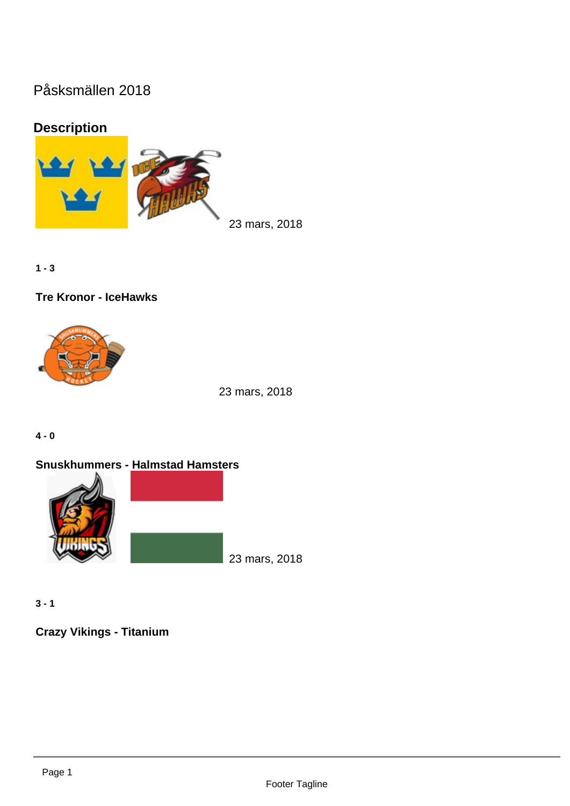## Påsksmällen 2018

## Description

23 mars, 2018

 $1 - 3$ 

Tre Kronor - IceHawks

23 mars, 2018

 $4 - 0$ 

Snuskhummers - Halmstad Hamsters

23 mars, 2018

 $3 - 1$ 

Crazy Vikings - Titanium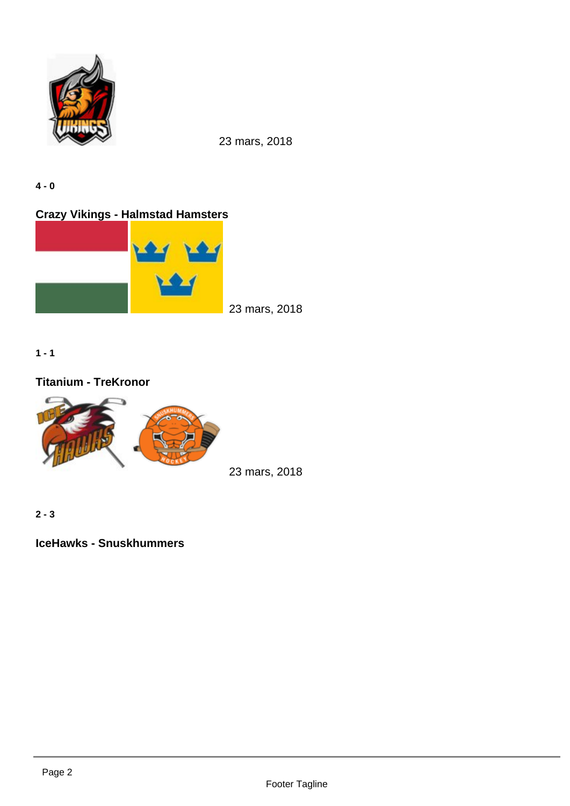4 - 0

Crazy Vikings - Halmstad Hamsters

23 mars, 2018

 $1 - 1$ 

Titanium - TreKronor

23 mars, 2018

Footer Tagline

2 - 3

IceHawks - Snuskhummers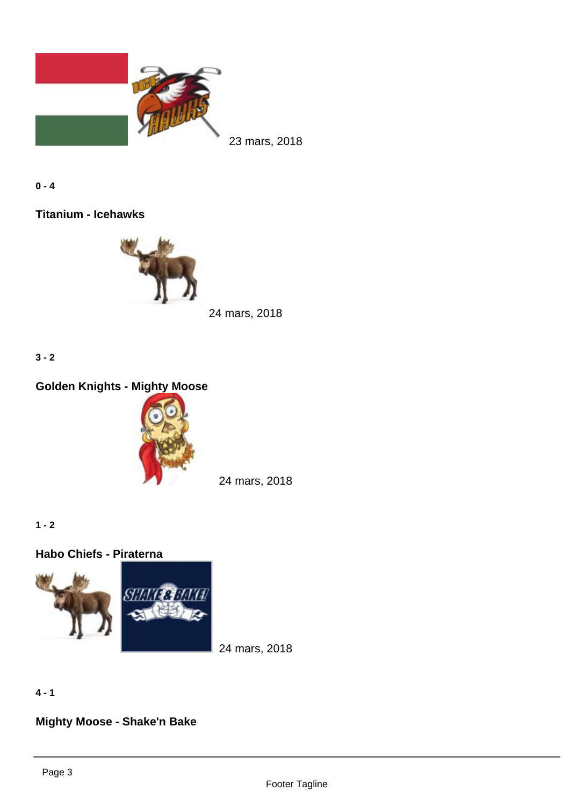$0 - 4$ 

Titanium - Icehawks

24 mars, 2018

3 - 2

Golden Knights - Mighty Moose

24 mars, 2018

 $1 - 2$ 

Habo Chiefs - Piraterna

24 mars, 2018

4 - 1

Mighty Moose - Shake'n Bake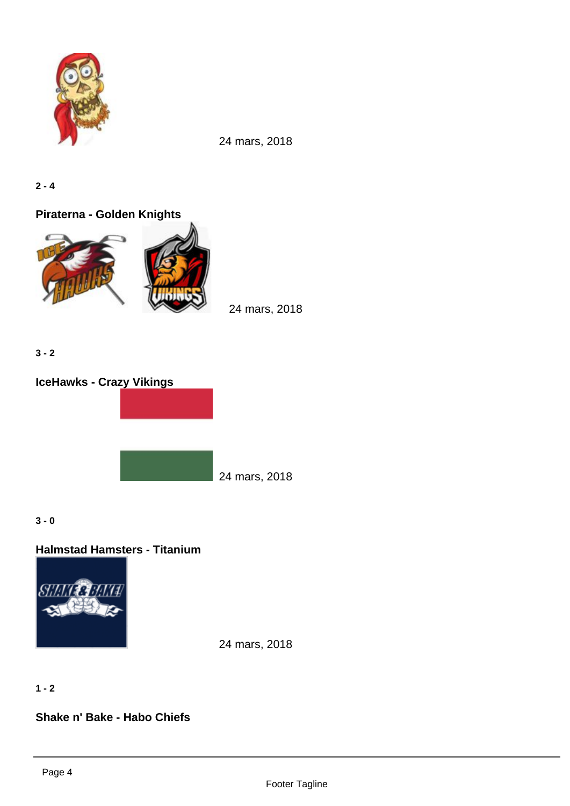$2 - 4$ 

Piraterna - Golden Knights

24 mars, 2018

3 - 2

IceHawks - Crazy Vikings

24 mars, 2018

3 - 0

Halmstad Hamsters - Titanium

24 mars, 2018

 $1 - 2$ 

Shake n' Bake - Habo Chiefs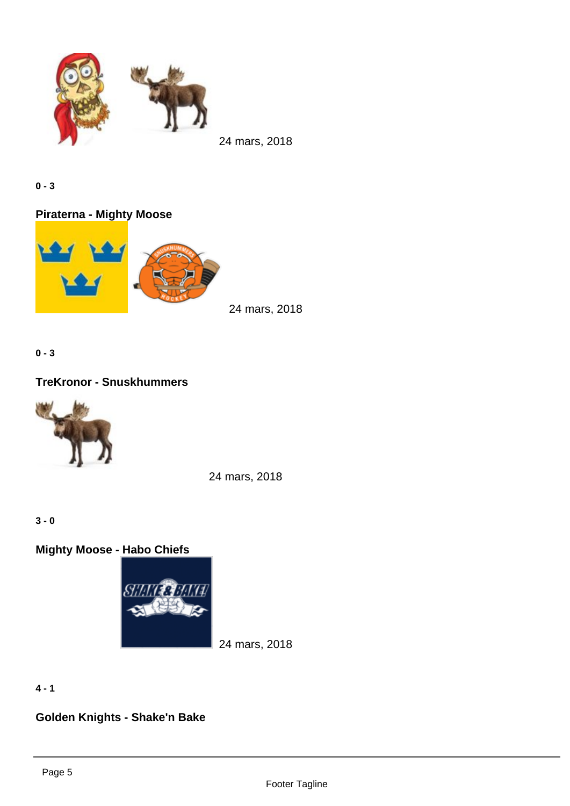0 - 3

Piraterna - Mighty Moose

24 mars, 2018

0 - 3

TreKronor - Snuskhummers

24 mars, 2018

3 - 0

Mighty Moose - Habo Chiefs

24 mars, 2018

 $4 - 1$ 

Golden Knights - Shake'n Bake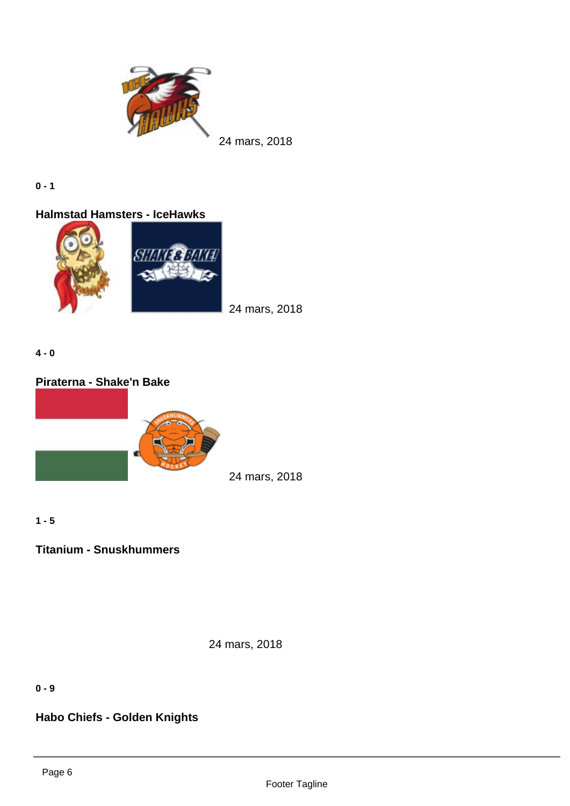$0 - 1$ 

Halmstad Hamsters - IceHawks

24 mars, 2018

4 - 0

Piraterna - Shake'n Bake

24 mars, 2018

 $1 - 5$ 

Titanium - Snuskhummers

24 mars, 2018

0 - 9

Habo Chiefs - Golden Knights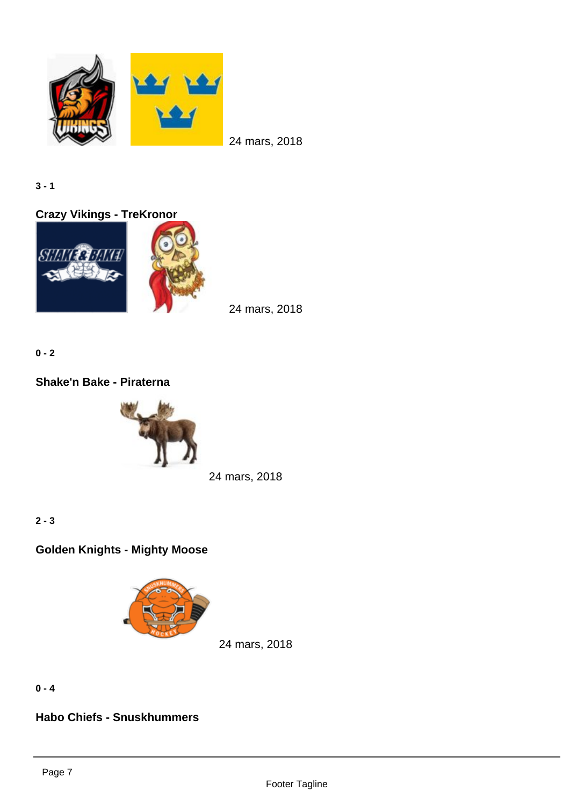3 - 1

Crazy Vikings - TreKronor

24 mars, 2018

 $0 - 2$ 

Shake'n Bake - Piraterna

24 mars, 2018

2 - 3

Golden Knights - Mighty Moose

24 mars, 2018

 $0 - 4$ 

Habo Chiefs - Snuskhummers